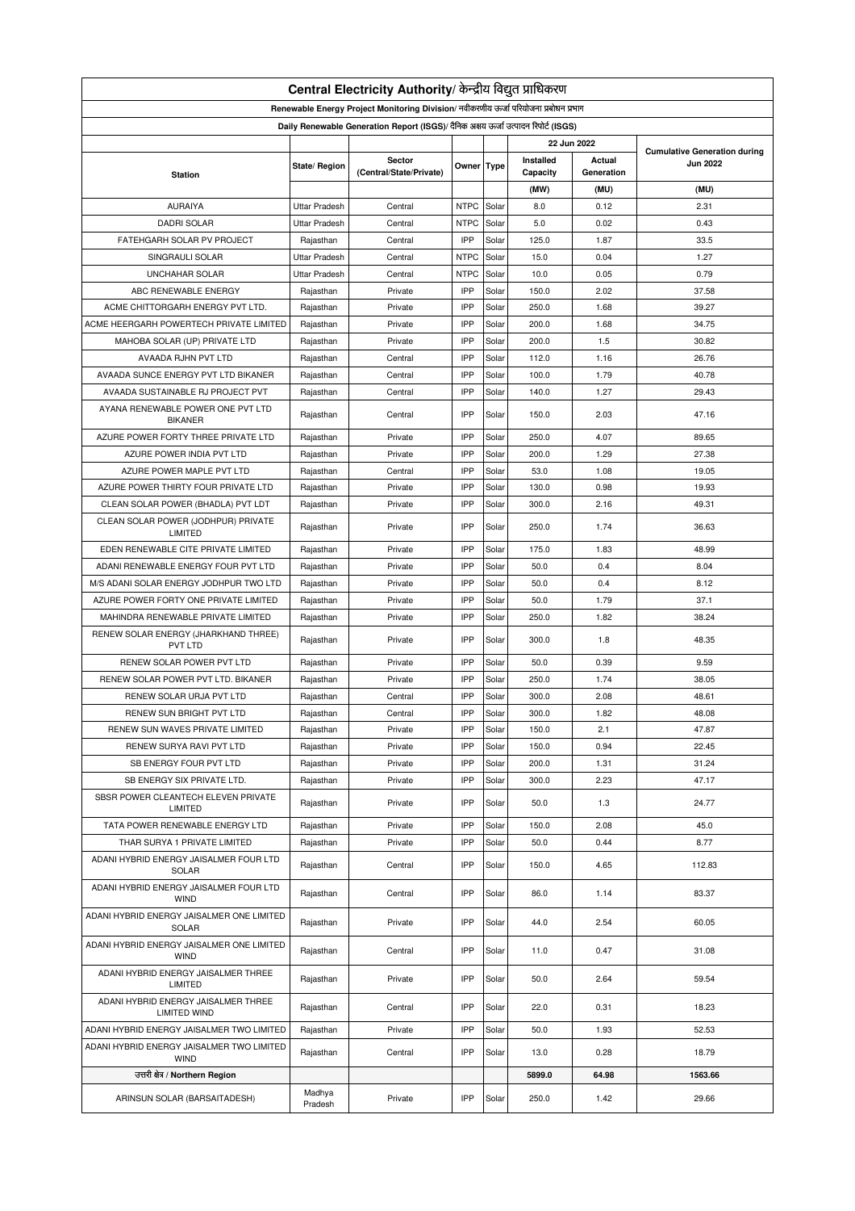| Central Electricity Authority/ केन्द्रीय विद्युत प्राधिकरण                           |                      |                         |             |       |           |            |                                                        |  |  |
|--------------------------------------------------------------------------------------|----------------------|-------------------------|-------------|-------|-----------|------------|--------------------------------------------------------|--|--|
| Renewable Energy Project Monitoring Division/ नवीकरणीय ऊर्जा परियोजना प्रबोधन प्रभाग |                      |                         |             |       |           |            |                                                        |  |  |
| Daily Renewable Generation Report (ISGS)/ दैनिक अक्षय ऊर्जा उत्पादन रिपोर्ट (ISGS)   |                      |                         |             |       |           |            |                                                        |  |  |
| 22 Jun 2022                                                                          |                      |                         |             |       |           |            |                                                        |  |  |
|                                                                                      |                      | Sector                  |             |       | Installed | Actual     | <b>Cumulative Generation during</b><br><b>Jun 2022</b> |  |  |
| <b>Station</b>                                                                       | State/ Region        | (Central/State/Private) | Owner Type  |       | Capacity  | Generation |                                                        |  |  |
|                                                                                      |                      |                         |             |       | (MW)      | (MU)       | (MU)                                                   |  |  |
| <b>AURAIYA</b>                                                                       | <b>Uttar Pradesh</b> | Central                 | <b>NTPC</b> | Solar | 8.0       | 0.12       | 2.31                                                   |  |  |
| <b>DADRI SOLAR</b>                                                                   | <b>Uttar Pradesh</b> | Central                 | <b>NTPC</b> | Solar | 5.0       | 0.02       | 0.43                                                   |  |  |
| FATEHGARH SOLAR PV PROJECT                                                           | Rajasthan            | Central                 | IPP         | Solar | 125.0     | 1.87       | 33.5                                                   |  |  |
| SINGRAULI SOLAR                                                                      | <b>Uttar Pradesh</b> | Central                 | <b>NTPC</b> | Solar | 15.0      | 0.04       | 1.27                                                   |  |  |
| <b>UNCHAHAR SOLAR</b>                                                                | <b>Uttar Pradesh</b> | Central                 | <b>NTPC</b> | Solar | 10.0      | 0.05       | 0.79                                                   |  |  |
| ABC RENEWABLE ENERGY                                                                 | Rajasthan            | Private                 | IPP         | Solar | 150.0     | 2.02       | 37.58                                                  |  |  |
| ACME CHITTORGARH ENERGY PVT LTD.                                                     | Rajasthan            | Private                 | IPP         | Solar | 250.0     | 1.68       | 39.27                                                  |  |  |
| ACME HEERGARH POWERTECH PRIVATE LIMITED                                              | Rajasthan            | Private                 | IPP         | Solar | 200.0     | 1.68       | 34.75                                                  |  |  |
| MAHOBA SOLAR (UP) PRIVATE LTD                                                        | Rajasthan            | Private                 | IPP         | Solar | 200.0     | 1.5        | 30.82                                                  |  |  |
| AVAADA RJHN PVT LTD                                                                  | Rajasthan            | Central                 | IPP         | Solar | 112.0     | 1.16       | 26.76                                                  |  |  |
| AVAADA SUNCE ENERGY PVT LTD BIKANER                                                  | Rajasthan            | Central                 | IPP         | Solar | 100.0     | 1.79       | 40.78                                                  |  |  |
| AVAADA SUSTAINABLE RJ PROJECT PVT                                                    | Rajasthan            | Central                 | IPP         | Solar | 140.0     | 1.27       | 29.43                                                  |  |  |
| AYANA RENEWABLE POWER ONE PVT LTD                                                    |                      |                         |             |       |           |            |                                                        |  |  |
| <b>BIKANER</b>                                                                       | Rajasthan            | Central                 | IPP         | Solar | 150.0     | 2.03       | 47.16                                                  |  |  |
| AZURE POWER FORTY THREE PRIVATE LTD                                                  | Rajasthan            | Private                 | IPP         | Solar | 250.0     | 4.07       | 89.65                                                  |  |  |
| AZURE POWER INDIA PVT LTD                                                            | Rajasthan            | Private                 | IPP         | Solar | 200.0     | 1.29       | 27.38                                                  |  |  |
| AZURE POWER MAPLE PVT LTD                                                            | Rajasthan            | Central                 | IPP         | Solar | 53.0      | 1.08       | 19.05                                                  |  |  |
| AZURE POWER THIRTY FOUR PRIVATE LTD                                                  | Rajasthan            | Private                 | IPP         | Solar | 130.0     | 0.98       | 19.93                                                  |  |  |
| CLEAN SOLAR POWER (BHADLA) PVT LDT                                                   | Rajasthan            | Private                 | IPP         | Solar | 300.0     | 2.16       | 49.31                                                  |  |  |
| CLEAN SOLAR POWER (JODHPUR) PRIVATE<br>LIMITED                                       | Rajasthan            | Private                 | IPP         | Solar | 250.0     | 1.74       | 36.63                                                  |  |  |
| EDEN RENEWABLE CITE PRIVATE LIMITED                                                  | Rajasthan            | Private                 | IPP         | Solar | 175.0     | 1.83       | 48.99                                                  |  |  |
| ADANI RENEWABLE ENERGY FOUR PVT LTD                                                  | Rajasthan            | Private                 | IPP         | Solar | 50.0      | 0.4        | 8.04                                                   |  |  |
| M/S ADANI SOLAR ENERGY JODHPUR TWO LTD                                               | Rajasthan            | Private                 | IPP         | Solar | 50.0      | 0.4        | 8.12                                                   |  |  |
| AZURE POWER FORTY ONE PRIVATE LIMITED                                                | Rajasthan            | Private                 | IPP         | Solar | 50.0      | 1.79       | 37.1                                                   |  |  |
| MAHINDRA RENEWABLE PRIVATE LIMITED                                                   | Rajasthan            | Private                 | IPP         | Solar | 250.0     | 1.82       | 38.24                                                  |  |  |
| RENEW SOLAR ENERGY (JHARKHAND THREE)<br>PVT LTD                                      | Rajasthan            | Private                 | IPP         | Solar | 300.0     | 1.8        | 48.35                                                  |  |  |
| RENEW SOLAR POWER PVT LTD                                                            | Rajasthan            | Private                 | IPP         | Solar | 50.0      | 0.39       | 9.59                                                   |  |  |
| RENEW SOLAR POWER PVT LTD. BIKANER                                                   | Rajasthan            | Private                 | IPP         | Solar | 250.0     | 1.74       | 38.05                                                  |  |  |
| RENEW SOLAR URJA PVT LTD                                                             | Rajasthan            | Central                 | IPP         | Solar | 300.0     | 2.08       | 48.61                                                  |  |  |
| <b>RENEW SUN BRIGHT PVT LTD</b>                                                      | Rajasthan            | Central                 | IPP         | Solar | 300.0     | 1.82       | 48.08                                                  |  |  |
| RENEW SUN WAVES PRIVATE LIMITED                                                      | Rajasthan            | Private                 | IPP         | Solar | 150.0     | 2.1        | 47.87                                                  |  |  |
|                                                                                      |                      |                         | IPP         | Solar | 150.0     | 0.94       | 22.45                                                  |  |  |
| RENEW SURYA RAVI PVT LTD                                                             | Rajasthan            | Private                 | IPP         |       |           |            |                                                        |  |  |
| SB ENERGY FOUR PVT LTD                                                               | Rajasthan            | Private                 |             | Solar | 200.0     | 1.31       | 31.24                                                  |  |  |
| SB ENERGY SIX PRIVATE LTD.                                                           | Rajasthan            | Private                 | IPP         | Solar | 300.0     | 2.23       | 47.17                                                  |  |  |
| SBSR POWER CLEANTECH ELEVEN PRIVATE<br>LIMITED                                       | Rajasthan            | Private                 | IPP         | Solar | 50.0      | 1.3        | 24.77                                                  |  |  |
| TATA POWER RENEWABLE ENERGY LTD                                                      | Rajasthan            | Private                 | IPP         | Solar | 150.0     | 2.08       | 45.0                                                   |  |  |
| THAR SURYA 1 PRIVATE LIMITED                                                         | Rajasthan            | Private                 | IPP         | Solar | 50.0      | 0.44       | 8.77                                                   |  |  |
| ADANI HYBRID ENERGY JAISALMER FOUR LTD<br>SOLAR                                      | Rajasthan            | Central                 | IPP         | Solar | 150.0     | 4.65       | 112.83                                                 |  |  |
| ADANI HYBRID ENERGY JAISALMER FOUR LTD<br><b>WIND</b>                                | Rajasthan            | Central                 | IPP         | Solar | 86.0      | 1.14       | 83.37                                                  |  |  |
| ADANI HYBRID ENERGY JAISALMER ONE LIMITED<br><b>SOLAR</b>                            | Rajasthan            | Private                 | IPP         | Solar | 44.0      | 2.54       | 60.05                                                  |  |  |
| ADANI HYBRID ENERGY JAISALMER ONE LIMITED<br><b>WIND</b>                             | Rajasthan            | Central                 | IPP         | Solar | 11.0      | 0.47       | 31.08                                                  |  |  |
| ADANI HYBRID ENERGY JAISALMER THREE<br>LIMITED                                       | Rajasthan            | Private                 | IPP         | Solar | 50.0      | 2.64       | 59.54                                                  |  |  |
| ADANI HYBRID ENERGY JAISALMER THREE<br>LIMITED WIND                                  | Rajasthan            | Central                 | IPP         | Solar | 22.0      | 0.31       | 18.23                                                  |  |  |
| ADANI HYBRID ENERGY JAISALMER TWO LIMITED                                            | Rajasthan            | Private                 | IPP         | Solar | 50.0      | 1.93       | 52.53                                                  |  |  |
| ADANI HYBRID ENERGY JAISALMER TWO LIMITED<br><b>WIND</b>                             | Rajasthan            | Central                 | IPP         | Solar | 13.0      | 0.28       | 18.79                                                  |  |  |
| उत्तरी क्षेत्र / Northern Region                                                     |                      |                         |             |       | 5899.0    | 64.98      | 1563.66                                                |  |  |
|                                                                                      | Madhya               |                         |             |       |           |            |                                                        |  |  |
| ARINSUN SOLAR (BARSAITADESH)                                                         | Pradesh              | Private                 | IPP         | Solar | 250.0     | 1.42       | 29.66                                                  |  |  |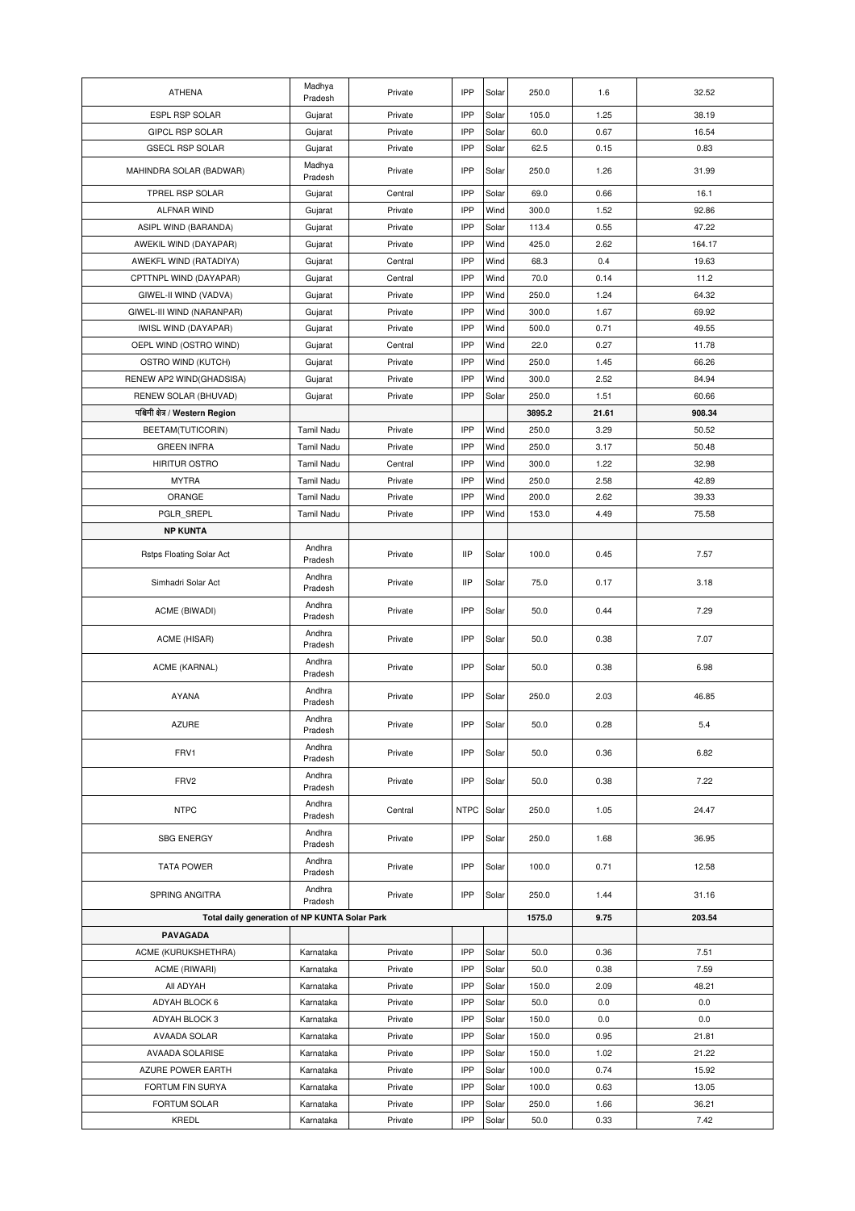| <b>ATHENA</b>                                 | Madhya<br>Pradesh | Private | IPP        | Solar | 250.0           | 1.6   | 32.52  |
|-----------------------------------------------|-------------------|---------|------------|-------|-----------------|-------|--------|
| ESPL RSP SOLAR                                | Gujarat           | Private | IPP        | Solar | 105.0           | 1.25  | 38.19  |
| <b>GIPCL RSP SOLAR</b>                        | Gujarat           | Private | IPP        | Solar | 60.0            | 0.67  | 16.54  |
| <b>GSECL RSP SOLAR</b>                        | Gujarat           | Private | IPP        | Solar | 62.5            | 0.15  | 0.83   |
| MAHINDRA SOLAR (BADWAR)                       | Madhya<br>Pradesh | Private | IPP        | Solar | 250.0           | 1.26  | 31.99  |
| TPREL RSP SOLAR                               | Gujarat           | Central | IPP        | Solar | 69.0            | 0.66  | 16.1   |
| ALFNAR WIND                                   | Gujarat           | Private | IPP        | Wind  | 300.0           | 1.52  | 92.86  |
| ASIPL WIND (BARANDA)                          | Gujarat           | Private | IPP        | Solar | 113.4           | 0.55  | 47.22  |
| AWEKIL WIND (DAYAPAR)                         | Gujarat           | Private | IPP        | Wind  | 425.0           | 2.62  | 164.17 |
| AWEKFL WIND (RATADIYA)                        | Gujarat           | Central | IPP        | Wind  | 68.3            | 0.4   | 19.63  |
| CPTTNPL WIND (DAYAPAR)                        | Gujarat           | Central | IPP        | Wind  | 70.0            | 0.14  | 11.2   |
| GIWEL-II WIND (VADVA)                         | Gujarat           | Private | IPP        | Wind  | 250.0           | 1.24  | 64.32  |
| GIWEL-III WIND (NARANPAR)                     | Gujarat           | Private | IPP        | Wind  | 300.0           | 1.67  | 69.92  |
| <b>IWISL WIND (DAYAPAR)</b>                   | Gujarat           | Private | IPP        | Wind  | 500.0           | 0.71  | 49.55  |
| OEPL WIND (OSTRO WIND)                        | Gujarat           | Central | IPP        | Wind  | 22.0            | 0.27  | 11.78  |
| OSTRO WIND (KUTCH)                            | Gujarat           | Private | IPP        | Wind  | 250.0           | 1.45  | 66.26  |
| RENEW AP2 WIND(GHADSISA)                      | Gujarat           | Private | IPP        | Wind  | 300.0           | 2.52  | 84.94  |
| RENEW SOLAR (BHUVAD)                          | Gujarat           | Private | IPP        | Solar | 250.0           | 1.51  | 60.66  |
| पश्चिमी क्षेत्र / Western Region              |                   |         |            |       | 3895.2          | 21.61 | 908.34 |
| BEETAM(TUTICORIN)                             | <b>Tamil Nadu</b> | Private | IPP        | Wind  | 250.0           | 3.29  | 50.52  |
| <b>GREEN INFRA</b>                            | Tamil Nadu        | Private | IPP        | Wind  | 250.0           | 3.17  | 50.48  |
| <b>HIRITUR OSTRO</b>                          | Tamil Nadu        | Central | IPP        | Wind  | 300.0           | 1.22  | 32.98  |
| <b>MYTRA</b>                                  | Tamil Nadu        | Private | IPP        | Wind  | 250.0           | 2.58  | 42.89  |
| ORANGE                                        | Tamil Nadu        | Private | IPP        | Wind  | 200.0           | 2.62  | 39.33  |
| PGLR SREPL                                    | Tamil Nadu        | Private | IPP        | Wind  | 153.0           | 4.49  | 75.58  |
| <b>NP KUNTA</b>                               |                   |         |            |       |                 |       |        |
| Rstps Floating Solar Act                      | Andhra<br>Pradesh | Private | <b>IIP</b> | Solar | 100.0           | 0.45  | 7.57   |
| Simhadri Solar Act                            | Andhra<br>Pradesh | Private | <b>IIP</b> | Solar | 75.0            | 0.17  | 3.18   |
| ACME (BIWADI)                                 | Andhra<br>Pradesh | Private | IPP        | Solar | 50.0            | 0.44  | 7.29   |
| ACME (HISAR)                                  | Andhra<br>Pradesh | Private | IPP        | Solar | 50.0            | 0.38  | 7.07   |
| ACME (KARNAL)                                 | Andhra<br>Pradesh | Private | IPP        | Solar | 50.0            | 0.38  | 6.98   |
| <b>AYANA</b>                                  | Andhra<br>Pradesh | Private | IPP        | Solar | 250.0           | 2.03  | 46.85  |
| <b>AZURE</b>                                  | Andhra<br>Pradesh | Private | IPP        | Solar | 50.0            | 0.28  | 5.4    |
| FRV1                                          | Andhra<br>Pradesh | Private | IPP        | Solar | 50.0            | 0.36  | 6.82   |
| FRV2                                          | Andhra<br>Pradesh | Private | IPP        | Solar | 50.0            | 0.38  | 7.22   |
| <b>NTPC</b>                                   | Andhra<br>Pradesh | Central | NTPC       | Solar | 250.0           | 1.05  | 24.47  |
| <b>SBG ENERGY</b>                             | Andhra<br>Pradesh | Private | IPP        | Solar | 250.0           | 1.68  | 36.95  |
| <b>TATA POWER</b>                             | Andhra<br>Pradesh | Private | IPP        | Solar | 100.0           | 0.71  | 12.58  |
| SPRING ANGITRA                                | Andhra<br>Pradesh | Private | IPP        | Solar | 250.0<br>1575.0 | 1.44  | 31.16  |
| Total daily generation of NP KUNTA Solar Park |                   |         |            |       |                 | 9.75  | 203.54 |
| PAVAGADA                                      |                   |         |            |       |                 |       |        |
| ACME (KURUKSHETHRA)                           | Karnataka         | Private | IPP        | Solar | 50.0            | 0.36  | 7.51   |
| ACME (RIWARI)                                 | Karnataka         | Private | IPP        | Solar | 50.0            | 0.38  | 7.59   |
| All ADYAH                                     | Karnataka         | Private | IPP        | Solar | 150.0           | 2.09  | 48.21  |
| ADYAH BLOCK 6                                 | Karnataka         | Private | IPP        | Solar | 50.0            | 0.0   | 0.0    |
| ADYAH BLOCK 3                                 | Karnataka         | Private | IPP        | Solar | 150.0           | 0.0   | 0.0    |
| AVAADA SOLAR                                  | Karnataka         | Private | IPP        | Solar | 150.0           | 0.95  | 21.81  |
| AVAADA SOLARISE                               | Karnataka         | Private | IPP        | Solar | 150.0           | 1.02  | 21.22  |
| AZURE POWER EARTH                             | Karnataka         | Private | IPP        | Solar | 100.0           | 0.74  | 15.92  |
| FORTUM FIN SURYA                              | Karnataka         | Private | IPP        | Solar | 100.0           | 0.63  | 13.05  |
| FORTUM SOLAR                                  | Karnataka         | Private | IPP        | Solar | 250.0           | 1.66  | 36.21  |
| KREDL                                         | Karnataka         | Private | IPP        | Solar | 50.0            | 0.33  | 7.42   |